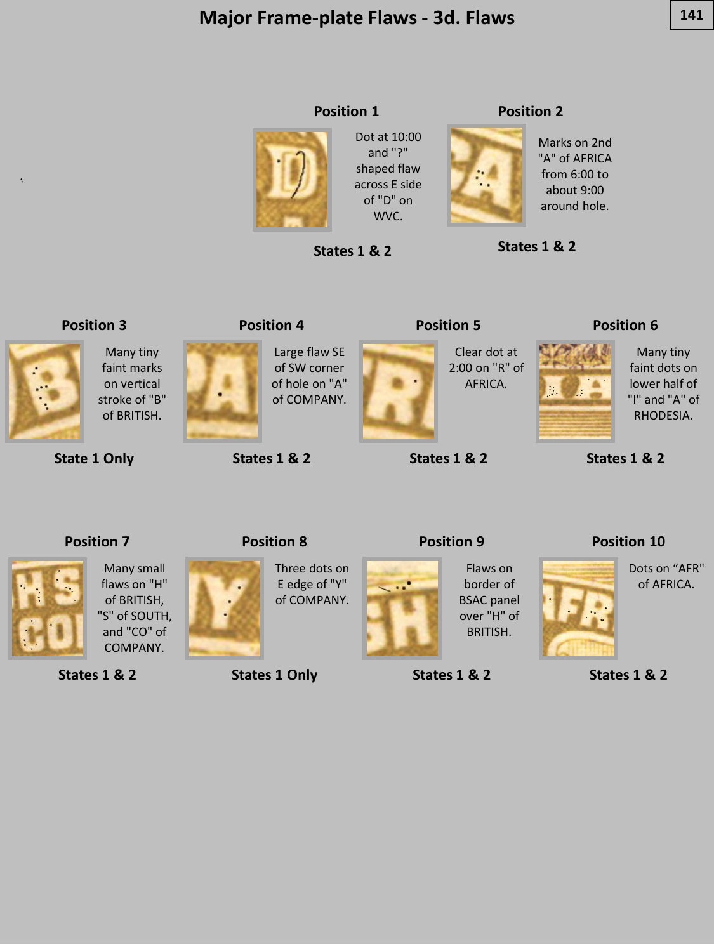# **Major Frame-plate Flaws - 3d. Flaws 141**

**Position 1**



Dot at 10:00 and "?" shaped flaw across E side of "D" on WVC.

**States 1 & 2**

#### **Position 2**



**States 1 & 2**

#### **Position 3**



faint marks on vertical stroke of "B" of BRITISH.

Many tiny

**State 1 Only**

**States 1 & 2**

**Position 4**

Large flaw SE of SW corner of hole on "A" of COMPANY.



**States 1 & 2**

**Position 9**

**States 1 & 2**

**Position 5**

Clear dot at 2:00 on "R" of AFRICA.

#### **Position 6**



Many tiny faint dots on lower half of "I" and "A" of RHODESIA.

**States 1 & 2**

#### **Position 7**



Many small flaws on "H" of BRITISH, "S" of SOUTH, and "CO" of COMPANY.

**States 1 & 2**



Three dots on E edge of "Y" of COMPANY.

**States 1 Only**



Flaws on border of BSAC panel over "H" of BRITISH.

**Position 10**



Dots on "AFR" of AFRICA.



**States 1 & 2**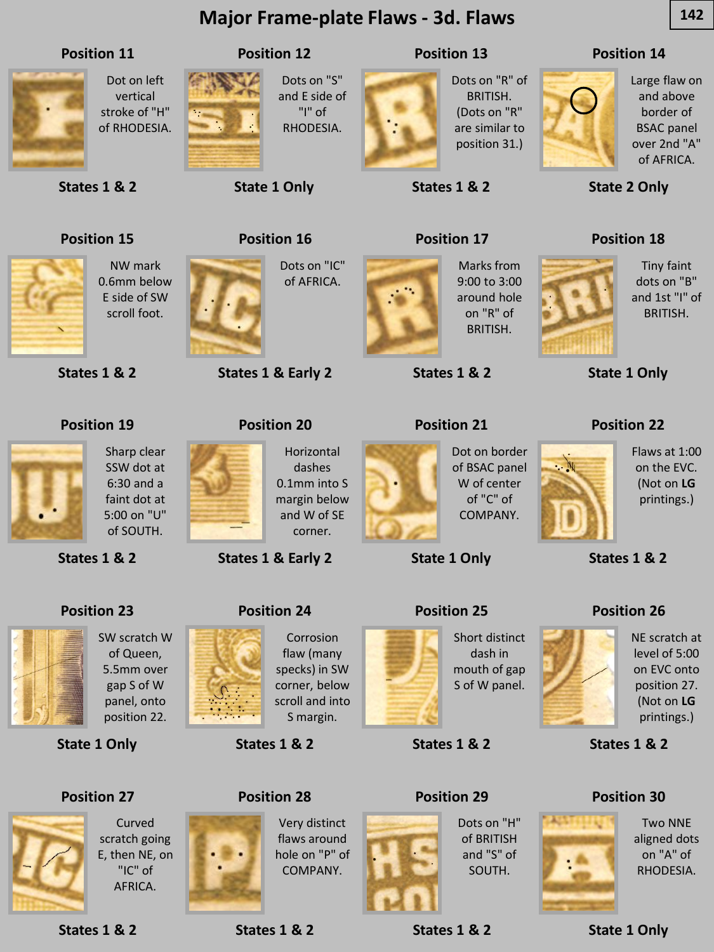# **Major Frame-plate Flaws - 3d. Flaws 142**

#### **Position 11**



Dot on left vertical stroke of "H" of RHODESIA.



Dots on "S" and E side of "I" of RHODESIA.

**Position 12**

**State 1 Only**

**Position 16**

**States 1 & Early 2**

**Position 20**

# **Position 13**



Dots on "R" of BRITISH. (Dots on "R" are similar to position 31.)

**States 1 & 2**

**Position 17**

#### **Position 14**



Large flaw on and above border of BSAC panel over 2nd "A" of AFRICA.

**State 2 Only**

# **Position 15**

**States 1 & 2**



NW mark 0.6mm below E side of SW scroll foot.

Sharp clear SSW dot at 6:30 and a

SW scratch W of Queen, 5.5mm over gap S of W panel, onto position 22.

Curved scratch going E, then NE, on "IC" of AFRICA.

**States 1 & 2**

**Position 19**

**States 1 & 2**

**Position 23**

**State 1 Only**

**Position 27**

**States 1 & 2**



Dots on "IC" of AFRICA.



Marks from 9:00 to 3:00 around hole on "R" of BRITISH.

**States 1 & 2**

### **Position 21**



**State 1 Only**





S of W panel.

**States 1 & 2**

**Position 29**

Dots on "H" of BRITISH and "S" of SOUTH.



**States 1 & 2**

**Position 18**



Tiny faint dots on "B" and 1st "I" of BRITISH.

**State 1 Only**

#### **Position 22**



**States 1 & 2**

### **Position 26**



NE scratch at level of 5:00 on EVC onto position 27. (Not on **LG** printings.)

**States 1 & 2**

### **Position 30**



Two NNE aligned dots on "A" of RHODESIA.

**State 1 Only**

faint dot at 5:00 on "U" of SOUTH.

**States 1 & Early 2**

**Position 24**

**States 1 & 2**

**Position 28**

**States 1 & 2**



corner.

Corrosion flaw (many specks) in SW corner, below scroll and into S margin.

Very distinct flaws around hole on "P" of COMPANY.